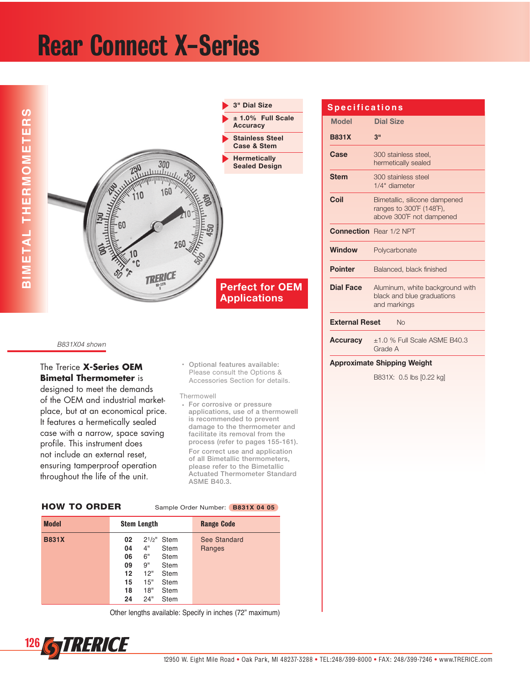# Rear Connect X-Series



## B831X04 shown

# The Trerice **X-Series OEM Bimetal Thermometer** is

designed to meet the demands of the OEM and industrial marketplace, but at an economical price. It features a hermetically sealed case with a narrow, space saving profile. This instrument does not include an external reset, ensuring tamperproof operation throughout the life of the unit.

## + Optional features available: Please consult the Options & Accessories Section for details.

#### Thermowell

+ For corrosive or pressure applications, use of a thermowell is recommended to prevent damage to the thermometer and facilitate its removal from the process (refer to pages 155-161). For correct use and application of all Bimetallic thermometers, please refer to the Bimetallic Actuated Thermometer Standard ASME B40.3.

|  | <b>HOW TO ORDER</b> |  |
|--|---------------------|--|
|  |                     |  |

Sample Order Number: **B831X 04 05** 

| <b>Model</b> | <b>Stem Length</b>                                                                                                                                                                                    | <b>Range Code</b>      |  |  |  |
|--------------|-------------------------------------------------------------------------------------------------------------------------------------------------------------------------------------------------------|------------------------|--|--|--|
| <b>B831X</b> | $2^{1/2}$ Stem<br>02<br>4"<br>04<br><b>Stem</b><br>6"<br>06<br><b>Stem</b><br>9"<br>09<br>Stem<br>12"<br>$12 \,$<br>Stem<br>15"<br>15<br><b>Stem</b><br>18"<br>18<br><b>Stem</b><br>24"<br>24<br>Stem | See Standard<br>Ranges |  |  |  |

Other lengths available: Specify in inches (72" maximum)

# **Model Dial Size B831X 3" Case** 300 stainless steel. hermetically sealed **Stem** = 300 stainless steel 1/4" diameter **Coil** 7RKS Bimetallic, silicone dampened ranges to  $300^{\circ}F$  (148 $^{\circ}F$ ), above 300°F not dampened **Connection** Rear 1/2 NPT **Window** Polycarbonate **Pointer** Balanced, black finished **Dial Face** Aluminum, white background with black and blue graduations and markings **External Reset No Accuracy**  $\pm$ 1.0 % Full Scale ASME B40.3 Grade A **S p e c i f i c a t i o n s**

### **Approximate Shipping Weight**

B831X: 0.5 lbs [0.22 kg]